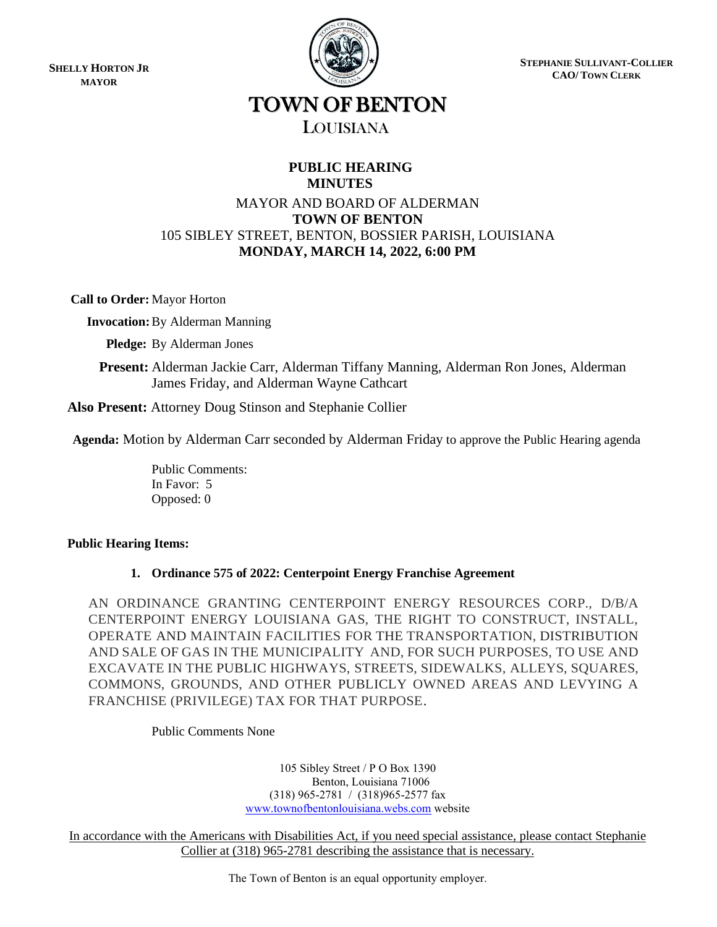**SHELLY HORTON JR MAYOR**



**STEPHANIE SULLIVANT-COLLIER CAO/ TOWN CLERK**

# TOWN OF BENTON LOUISIANA

# **PUBLIC HEARING MINUTES**

# MAYOR AND BOARD OF ALDERMAN **TOWN OF BENTON** 105 SIBLEY STREET, BENTON, BOSSIER PARISH, LOUISIANA **MONDAY, MARCH 14, 2022, 6:00 PM**

**Call to Order:** Mayor Horton

 **Invocation:**By Alderman Manning

 **Pledge:** By Alderman Jones

 **Present:** Alderman Jackie Carr, Alderman Tiffany Manning, Alderman Ron Jones, Alderman James Friday, and Alderman Wayne Cathcart

**Also Present:** Attorney Doug Stinson and Stephanie Collier

**Agenda:** Motion by Alderman Carr seconded by Alderman Friday to approve the Public Hearing agenda

Public Comments: In Favor: 5 Opposed: 0

# **Public Hearing Items:**

# **1. Ordinance 575 of 2022: Centerpoint Energy Franchise Agreement**

AN ORDINANCE GRANTING CENTERPOINT ENERGY RESOURCES CORP., D/B/A CENTERPOINT ENERGY LOUISIANA GAS, THE RIGHT TO CONSTRUCT, INSTALL, OPERATE AND MAINTAIN FACILITIES FOR THE TRANSPORTATION, DISTRIBUTION AND SALE OF GAS IN THE MUNICIPALITY AND, FOR SUCH PURPOSES, TO USE AND EXCAVATE IN THE PUBLIC HIGHWAYS, STREETS, SIDEWALKS, ALLEYS, SQUARES, COMMONS, GROUNDS, AND OTHER PUBLICLY OWNED AREAS AND LEVYING A FRANCHISE (PRIVILEGE) TAX FOR THAT PURPOSE.

Public Comments None

105 Sibley Street / P O Box 1390 Benton, Louisiana 71006 (318) 965-2781 / (318)965-2577 fax [www.townofbentonlouisiana.webs.com](http://www.townofbentonlouisiana.webs.com/) website

In accordance with the Americans with Disabilities Act, if you need special assistance, please contact Stephanie Collier at (318) 965-2781 describing the assistance that is necessary.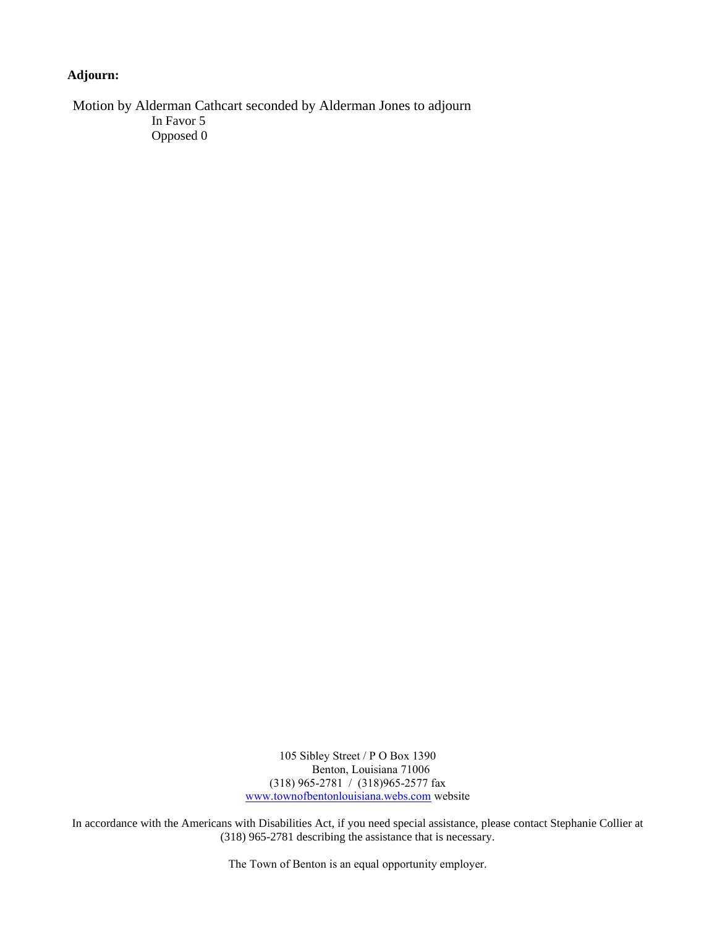# **Adjourn:**

Motion by Alderman Cathcart seconded by Alderman Jones to adjourn In Favor 5 Opposed 0

> 105 Sibley Street / P O Box 1390 Benton, Louisiana 71006 (318) 965-2781 / (318)965-2577 fax [www.townofbentonlouisiana.webs.com](http://www.townofbentonlouisiana.webs.com/) website

In accordance with the Americans with Disabilities Act, if you need special assistance, please contact Stephanie Collier at (318) 965-2781 describing the assistance that is necessary.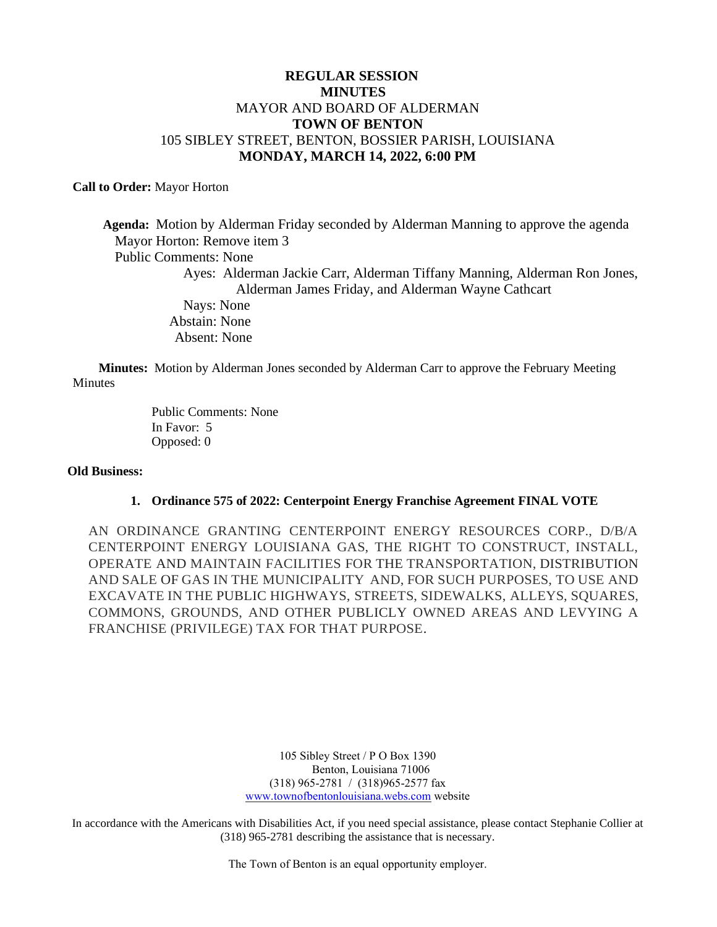# **REGULAR SESSION MINUTES** MAYOR AND BOARD OF ALDERMAN **TOWN OF BENTON** 105 SIBLEY STREET, BENTON, BOSSIER PARISH, LOUISIANA **MONDAY, MARCH 14, 2022, 6:00 PM**

## **Call to Order:** Mayor Horton

 **Agenda:** Motion by Alderman Friday seconded by Alderman Manning to approve the agenda Mayor Horton: Remove item 3 Public Comments: None Ayes: Alderman Jackie Carr, Alderman Tiffany Manning, Alderman Ron Jones, Alderman James Friday, and Alderman Wayne Cathcart Nays: None Abstain: None Absent: None

 **Minutes:** Motion by Alderman Jones seconded by Alderman Carr to approve the February Meeting **Minutes** 

> Public Comments: None In Favor: 5 Opposed: 0

## **Old Business:**

## **1. Ordinance 575 of 2022: Centerpoint Energy Franchise Agreement FINAL VOTE**

AN ORDINANCE GRANTING CENTERPOINT ENERGY RESOURCES CORP., D/B/A CENTERPOINT ENERGY LOUISIANA GAS, THE RIGHT TO CONSTRUCT, INSTALL, OPERATE AND MAINTAIN FACILITIES FOR THE TRANSPORTATION, DISTRIBUTION AND SALE OF GAS IN THE MUNICIPALITY AND, FOR SUCH PURPOSES, TO USE AND EXCAVATE IN THE PUBLIC HIGHWAYS, STREETS, SIDEWALKS, ALLEYS, SQUARES, COMMONS, GROUNDS, AND OTHER PUBLICLY OWNED AREAS AND LEVYING A FRANCHISE (PRIVILEGE) TAX FOR THAT PURPOSE.

> 105 Sibley Street / P O Box 1390 Benton, Louisiana 71006 (318) 965-2781 / (318)965-2577 fax [www.townofbentonlouisiana.webs.com](http://www.townofbentonlouisiana.webs.com/) website

In accordance with the Americans with Disabilities Act, if you need special assistance, please contact Stephanie Collier at (318) 965-2781 describing the assistance that is necessary.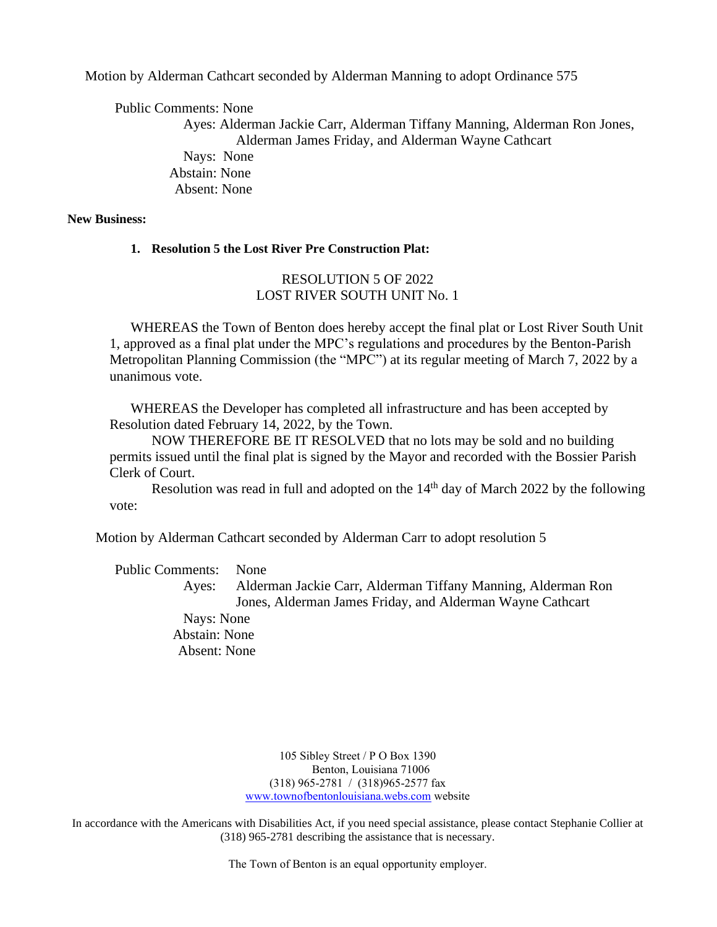Motion by Alderman Cathcart seconded by Alderman Manning to adopt Ordinance 575

Public Comments: None

 Ayes: Alderman Jackie Carr, Alderman Tiffany Manning, Alderman Ron Jones, Alderman James Friday, and Alderman Wayne Cathcart Nays: None Abstain: None Absent: None

# **New Business:**

**1. Resolution 5 the Lost River Pre Construction Plat:**

# RESOLUTION 5 OF 2022 LOST RIVER SOUTH UNIT No. 1

WHEREAS the Town of Benton does hereby accept the final plat or Lost River South Unit 1, approved as a final plat under the MPC's regulations and procedures by the Benton-Parish Metropolitan Planning Commission (the "MPC") at its regular meeting of March 7, 2022 by a unanimous vote.

WHEREAS the Developer has completed all infrastructure and has been accepted by Resolution dated February 14, 2022, by the Town.

NOW THEREFORE BE IT RESOLVED that no lots may be sold and no building permits issued until the final plat is signed by the Mayor and recorded with the Bossier Parish Clerk of Court.

Resolution was read in full and adopted on the 14<sup>th</sup> day of March 2022 by the following vote:

Motion by Alderman Cathcart seconded by Alderman Carr to adopt resolution 5

Public Comments: None

 Ayes: Alderman Jackie Carr, Alderman Tiffany Manning, Alderman Ron Jones, Alderman James Friday, and Alderman Wayne Cathcart

 Nays: None Abstain: None Absent: None

> 105 Sibley Street / P O Box 1390 Benton, Louisiana 71006 (318) 965-2781 / (318)965-2577 fax [www.townofbentonlouisiana.webs.com](http://www.townofbentonlouisiana.webs.com/) website

In accordance with the Americans with Disabilities Act, if you need special assistance, please contact Stephanie Collier at (318) 965-2781 describing the assistance that is necessary.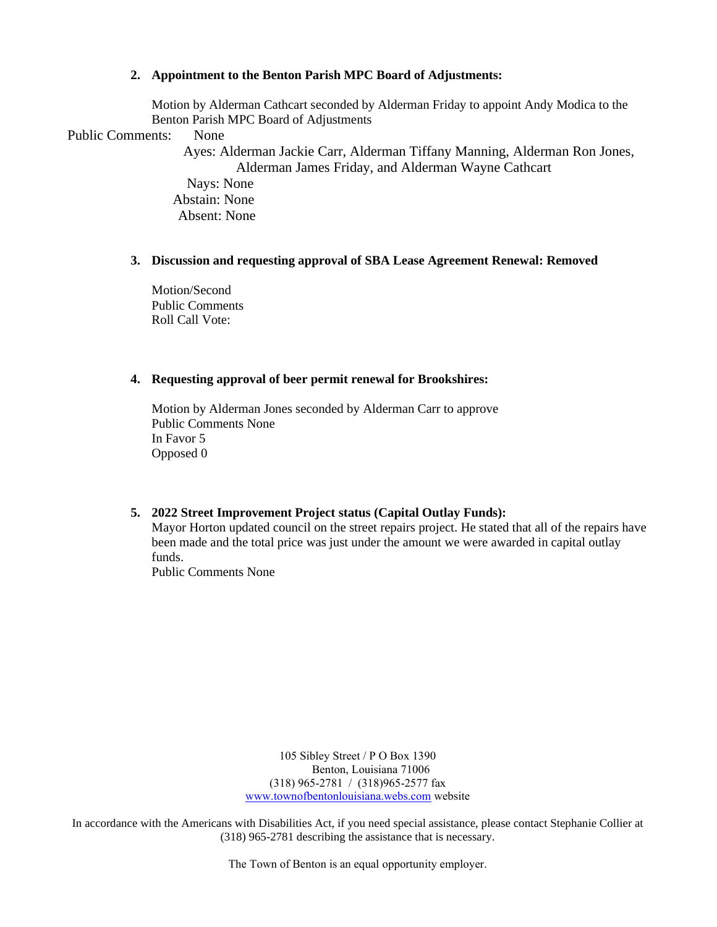## **2. Appointment to the Benton Parish MPC Board of Adjustments:**

Motion by Alderman Cathcart seconded by Alderman Friday to appoint Andy Modica to the Benton Parish MPC Board of Adjustments

Public Comments: None

 Ayes: Alderman Jackie Carr, Alderman Tiffany Manning, Alderman Ron Jones, Alderman James Friday, and Alderman Wayne Cathcart

 Nays: None Abstain: None Absent: None

## **3. Discussion and requesting approval of SBA Lease Agreement Renewal: Removed**

Motion/Second Public Comments Roll Call Vote:

## **4. Requesting approval of beer permit renewal for Brookshires:**

Motion by Alderman Jones seconded by Alderman Carr to approve Public Comments None In Favor 5 Opposed 0

## **5. 2022 Street Improvement Project status (Capital Outlay Funds):**

Mayor Horton updated council on the street repairs project. He stated that all of the repairs have been made and the total price was just under the amount we were awarded in capital outlay funds.

Public Comments None

105 Sibley Street / P O Box 1390 Benton, Louisiana 71006 (318) 965-2781 / (318)965-2577 fax [www.townofbentonlouisiana.webs.com](http://www.townofbentonlouisiana.webs.com/) website

In accordance with the Americans with Disabilities Act, if you need special assistance, please contact Stephanie Collier at (318) 965-2781 describing the assistance that is necessary.